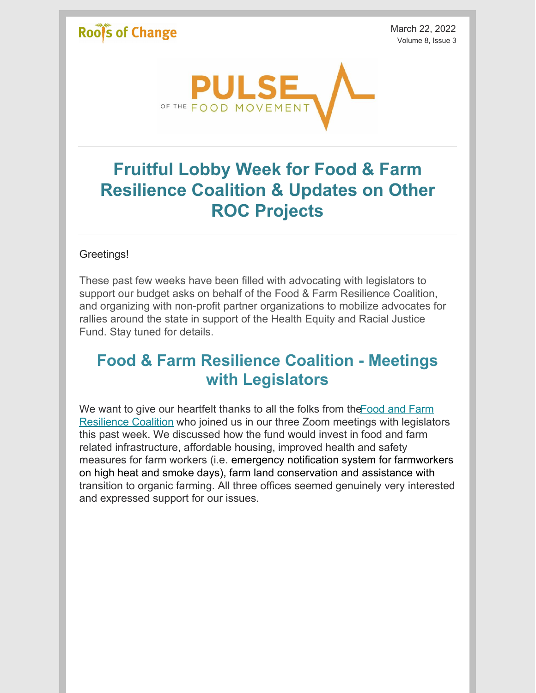## **Roofs of Change**

March 22, 2022 Volume 8, Issue 3



# **Fruitful Lobby Week for Food & Farm Resilience Coalition & Updates on Other ROC Projects**

#### Greetings!

These past few weeks have been filled with advocating with legislators to support our budget asks on behalf of the Food & Farm Resilience Coalition, and organizing with non-profit partner organizations to mobilize advocates for rallies around the state in support of the Health Equity and Racial Justice Fund. Stay tuned for details.

## **Food & Farm Resilience Coalition - Meetings with Legislators**

We want to give our heartfelt thanks to all the folks from the Food and Farm [Resilience](https://www.voteforyourfood.org/) Coalition who joined us in our three Zoom meetings with legislators this past week. We discussed how the fund would invest in food and farm related infrastructure, affordable housing, improved health and safety measures for farm workers (i.e. emergency notification system for farmworkers on high heat and smoke days), farm land conservation and assistance with transition to organic farming. All three offices seemed genuinely very interested and expressed support for our issues.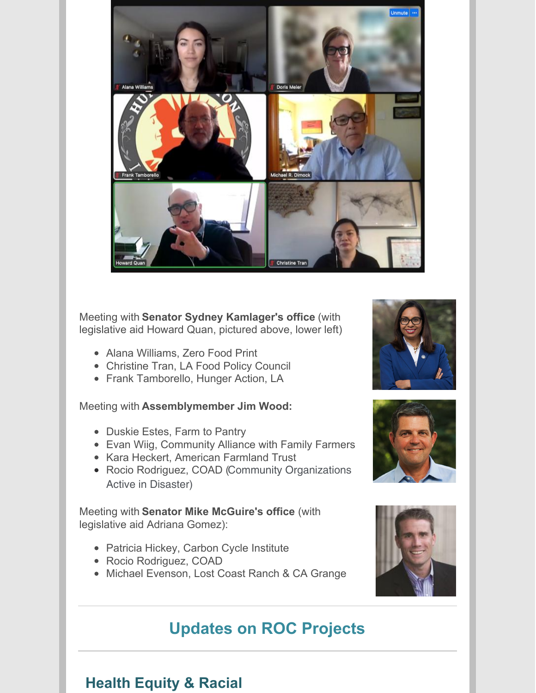

#### Meeting with **Senator Sydney Kamlager's office** (with legislative aid Howard Quan, pictured above, lower left)

- Alana Williams, Zero Food Print
- Christine Tran, LA Food Policy Council
- Frank Tamborello, Hunger Action, LA

#### Meeting with **Assemblymember Jim Wood:**

- Duskie Estes, Farm to Pantry
- Evan Wiig, Community Alliance with Family Farmers
- Kara Heckert, American Farmland Trust
- Rocio Rodriguez, COAD (Community Organizations Active in Disaster)

#### Meeting with **Senator Mike McGuire's office** (with legislative aid Adriana Gomez):

- Patricia Hickey, Carbon Cycle Institute
- Rocio Rodriguez, COAD
- Michael Evenson, Lost Coast Ranch & CA Grange

## **Updates on ROC Projects**





#### **Health Equity & Racial**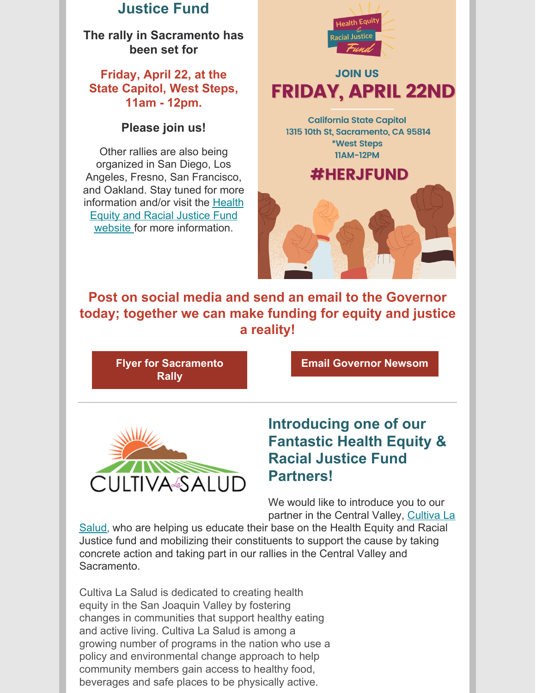#### **Justice Fund**

**The rally in Sacramento has been set for**

#### **Friday, April 22, at the State Capitol, West Steps, 11am - 12pm.**

#### **Please join us!**

Other rallies are also being organized in San Diego, Los Angeles, Fresno, San Francisco, and Oakland. Stay tuned for more information and/or visit the Health Equity and Racial Justice Fund website for more [information.](http://herjfund.org)



**Post on social media and send an email to the Governor today; together we can make funding for equity and justice a reality!**

**Flyer for [Sacramento](https://www.rootsofchange.org/wp-content/uploads/pdfresizer.com-pdf-resize-1.pdf) Rally**

**Email [Governor](https://ujoin.co/campaigns/1661/actions/public/1644377580?action_id=1704) Newsom**



#### **Introducing one of our Fantastic Health Equity & Racial Justice Fund Partners!**

We would like to introduce you to our partner in the Central Valley, Cultiva La

Salud, who are helping us [educate](http://cultivalasalud.org) their base on the Health Equity and Racial Justice fund and mobilizing their constituents to support the cause by taking concrete action and taking part in our rallies in the Central Valley and Sacramento.

Cultiva La Salud is dedicated to creating health equity in the San Joaquin Valley by fostering changes in communities that support healthy eating and active living. Cultiva La Salud is among a growing number of programs in the nation who use a policy and environmental change approach to help community members gain access to healthy food, beverages and safe places to be physically active.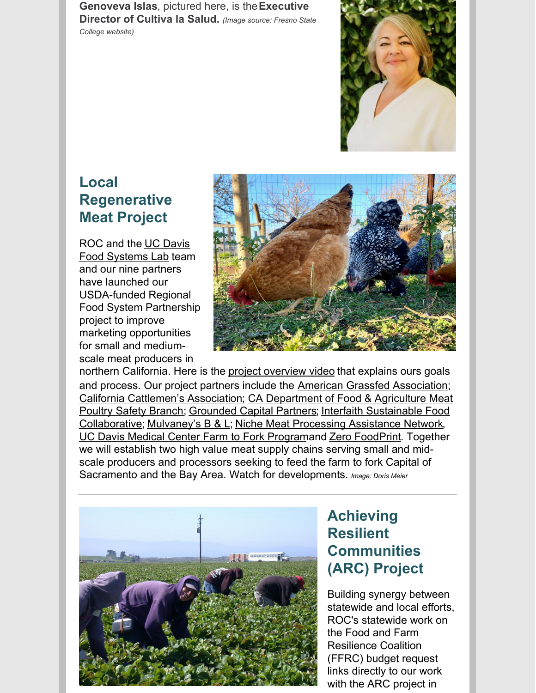**Genoveva Islas**, pictured here, is the**Executive Director of Cultiva la Salud.** *(Image source: Fresno State College website)*



## **Local Regenerative Meat Project**

ROC and the UC Davis Food [Systems](https://foodsystemslab.ucdavis.edu/) Lab team and our nine partners have launched our USDA-funded Regional Food System Partnership project to improve marketing opportunities for small and mediumscale meat producers in



northern California. Here is the project [overview](https://vimeo.com/682085466) video that explains ours goals and process. Our project partners include the American Grassfed [Association](https://www.americangrassfed.org/); California [Cattlemen's](https://calcattlemen.org/) [Association;](https://www.cdfa.ca.gov/AHFSS/MPES/) CA Department of Food & Agriculture Meat Poultry Safety Branch; [Grounded](https://www.groundedcapitalpartners.com/) Capital Partners; Interfaith Sustainable Food [Collaborative;](https://interfaithfood.org/) [Mulvaney's](https://mulvaneysbl.com/) B & L; Niche Meat [Processing](https://www.nichemeatprocessing.org/) Assistance Network, UC Davis Medical Center Farm to Fork [Program](https://health.ucdavis.edu/food-nutrition/farm-to-fork/index.html)and Zero [FoodPrint](https://www.zerofoodprint.org/). Together we will establish two high value meat supply chains serving small and midscale producers and processors seeking to feed the farm to fork Capital of Sacramento and the Bay Area. Watch for developments. *Image: Doris Meier*



## **Achieving Resilient Communities (ARC) Project**

Building synergy between statewide and local efforts, ROC's statewide work on the Food and Farm Resilience Coalition (FFRC) budget request links directly to our work with the ARC project in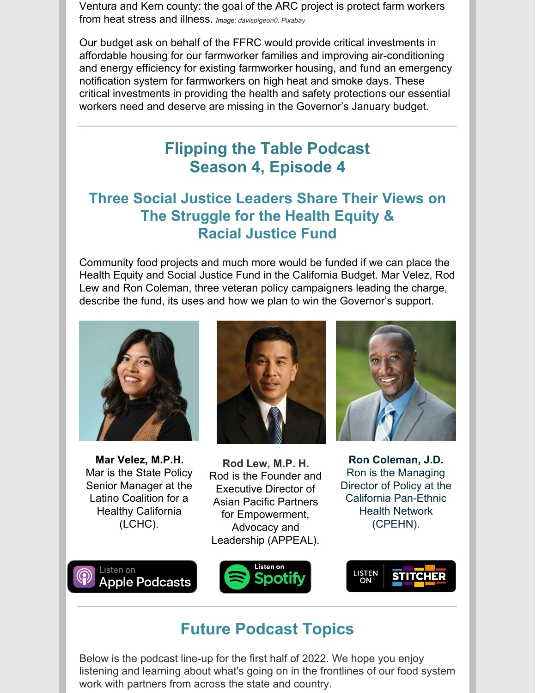Ventura and Kern county: the goal of the ARC project is protect farm workers from heat stress and illness. *Image: davispigeon0, Pixabay*

Our budget ask on behalf of the FFRC would provide critical investments in affordable housing for our farmworker families and improving air-conditioning and energy efficiency for existing farmworker housing, and fund an emergency notification system for farmworkers on high heat and smoke days. These critical investments in providing the health and safety protections our essential workers need and deserve are missing in the Governor's January budget.

## **Flipping the Table Podcast Season 4, Episode 4**

#### **Three Social Justice Leaders Share Their Views on The Struggle for the Health Equity & Racial Justice Fund**

Community food projects and much more would be funded if we can place the Health Equity and Social Justice Fund in the California Budget. Mar Velez, Rod Lew and Ron Coleman, three veteran policy campaigners leading the charge, describe the fund, its uses and how we plan to win the Governor's support.



**Mar Velez, M.P.H.** Mar is the State Policy Senior Manager at the Latino Coalition for a Healthy California (LCHC).



**Rod Lew, M.P. H.** Rod is the Founder and Executive Director of Asian Pacific Partners for Empowerment, Advocacy and Leadership (APPEAL).



**Ron Coleman, J.D.** Ron is the Managing Director of Policy at the California Pan-Ethnic Health Network (CPEHN).







## **Future Podcast Topics**

Below is the podcast line-up for the first half of 2022. We hope you enjoy listening and learning about what's going on in the frontlines of our food system work with partners from across the state and country.